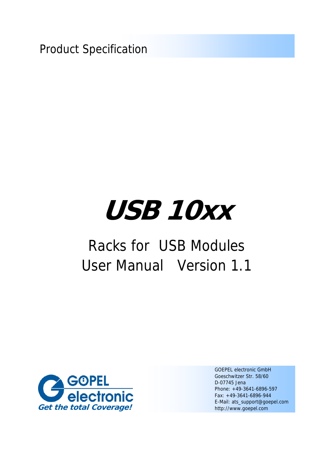Product Specification

# **USB 10xx**

# Racks for USB Modules User Manual Version 1.1



GOEPEL electronic GmbH Goeschwitzer Str. 58/60 D-07745 Jena Phone: +49-3641-6896-597 Fax: +49-3641-6896-944 E-Mail: ats\_support@goepel.com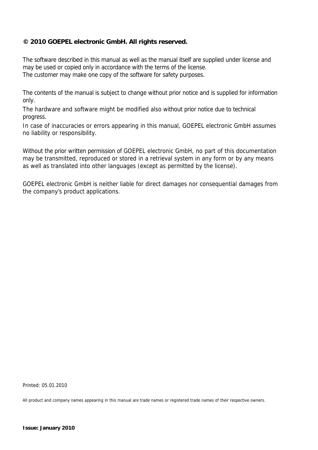#### **© 2010 GOEPEL electronic GmbH. All rights reserved.**

The software described in this manual as well as the manual itself are supplied under license and may be used or copied only in accordance with the terms of the license. The customer may make one copy of the software for safety purposes.

The contents of the manual is subject to change without prior notice and is supplied for information only.

The hardware and software might be modified also without prior notice due to technical progress.

In case of inaccuracies or errors appearing in this manual, GOEPEL electronic GmbH assumes no liability or responsibility.

Without the prior written permission of GOEPEL electronic GmbH, no part of this documentation may be transmitted, reproduced or stored in a retrieval system in any form or by any means as well as translated into other languages (except as permitted by the license).

GOEPEL electronic GmbH is neither liable for direct damages nor consequential damages from the company's product applications.

Printed: 05.01.2010

All product and company names appearing in this manual are trade names or registered trade names of their respective owners.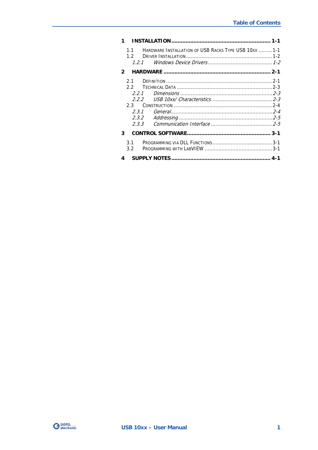|                | HARDWARE INSTALLATION OF USB RACKS TYPE USB 10XX 1-1<br>11<br>12<br>1.2.1 |  |
|----------------|---------------------------------------------------------------------------|--|
| $\overline{2}$ |                                                                           |  |
|                | 21                                                                        |  |
|                | 22                                                                        |  |
|                | 2.2.1                                                                     |  |
|                | 222                                                                       |  |
|                | 23                                                                        |  |
|                | 2.3.1                                                                     |  |
|                | 2.3.2                                                                     |  |
|                | 2.3.3                                                                     |  |
| 3              |                                                                           |  |
|                | 3.1                                                                       |  |
|                | 3.2                                                                       |  |
| 4              |                                                                           |  |

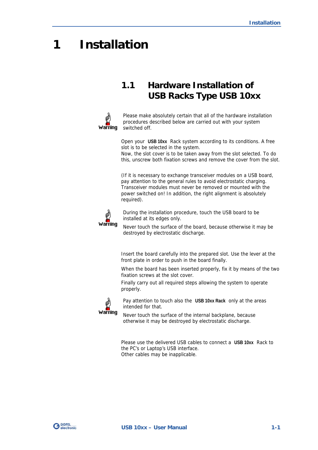## <span id="page-4-0"></span>**1 Installation**

#### <span id="page-4-1"></span>**1.1 Hardware Installation of USB Racks Type USB 10xx**



Please make absolutely certain that all of the hardware installation procedures described below are carried out with your system switched off.

Open your **USB 10xx** Rack system according to its conditions. A free slot is to be selected in the system.

Now, the slot cover is to be taken away from the slot selected. To do this, unscrew both fixation screws and remove the cover from the slot.

(If it is necessary to exchange transceiver modules on a USB board, pay attention to the general rules to avoid electrostatic charging. Transceiver modules must never be removed or mounted with the power switched on! In addition, the right alignment is absolutely required).



During the installation procedure, touch the USB board to be installed at its edges only.

Never touch the surface of the board, because otherwise it may be destroyed by electrostatic discharge.

Insert the board carefully into the prepared slot. Use the lever at the front plate in order to push in the board finally.

When the board has been inserted properly, fix it by means of the two fixation screws at the slot cover.

Finally carry out all required steps allowing the system to operate properly.



Pay attention to touch also the **USB 10xx Rack** only at the areas intended for that.

Never touch the surface of the internal backplane, because otherwise it may be destroyed by electrostatic discharge.

Please use the delivered USB cables to connect a **USB 10xx** Rack to the PC's or Laptop's USB interface. Other cables may be inapplicable.

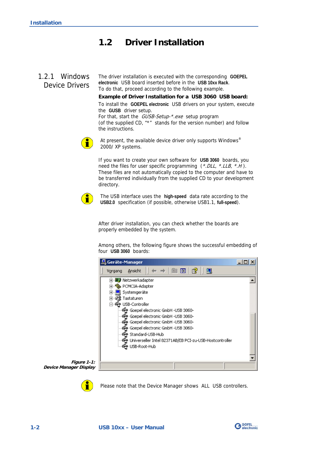#### <span id="page-5-0"></span>**1.2 Driver Installation**

#### <span id="page-5-1"></span>The driver installation is executed with the corresponding **GOEPEL electronic** USB board inserted before in the **USB 10xx Rack**. To do that, proceed according to the following example. 1.2.1 Windows Device Drivers

**Example of Driver Installation for a USB 3060 USB board:** 

To install the **GOEPEL electronic** USB drivers on your system, execute the **GUSB** driver setup. For that, start the *GUSB-Setup-\*.exe* setup program (of the supplied CD, "\*" stands for the version number) and follow the instructions.



At present, the available device driver only supports Windows<sup>®</sup> 2000/ XP systems.

If you want to create your own software for **USB 3060** boards, you need the files for user specific programming  $(*. DLL, *. LLB, *. H).$ These files are not automatically copied to the computer and have to be transferred individually from the supplied CD to your development directory.



The USB interface uses the **high-speed** data rate according to the **USB2.0** specification (if possible, otherwise USB1.1, **full-speed**).

After driver installation, you can check whether the boards are properly embedded by the system.

Among others, the following figure shows the successful embedding of four **USB 3060** boards:







Please note that the Device Manager shows ALL USB controllers.

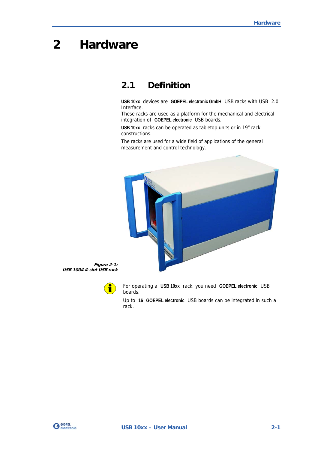# <span id="page-6-0"></span>**2 Hardware**

#### <span id="page-6-1"></span>**2.1 Definition**

**USB 10xx** devices are **GOEPEL electronic GmbH** USB racks with USB 2.0 Interface.

These racks are used as a platform for the mechanical and electrical integration of **GOEPEL electronic** USB boards.

**USB 10xx** racks can be operated as tabletop units or in 19" rack constructions.

The racks are used for a wide field of applications of the general measurement and control technology.



**Figure 2-1: USB 1004 4-slot USB rack** 



For operating a **USB 10xx** rack, you need **GOEPEL electronic** USB boards.

Up to **16 GOEPEL electronic** USB boards can be integrated in such a rack.

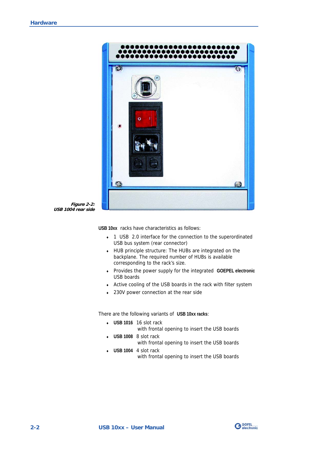



**USB 10xx** racks have characteristics as follows:

- ♦ 1 USB 2.0 interface for the connection to the superordinated USB bus system (rear connector)
- ♦ HUB principle structure: The HUBs are integrated on the backplane. The required number of HUBs is available corresponding to the rack's size.
- ♦ Provides the power supply for the integrated **GOEPEL electronic** USB boards
- ♦ Active cooling of the USB boards in the rack with filter system
- ♦ 230V power connection at the rear side

There are the following variants of **USB 10xx racks**:

- ♦ **USB 1016** 16 slot rack with frontal opening to insert the USB boards
- ♦ **USB 1008** 8 slot rack with frontal opening to insert the USB boards
- ♦ **USB 1004** 4 slot rack with frontal opening to insert the USB boards

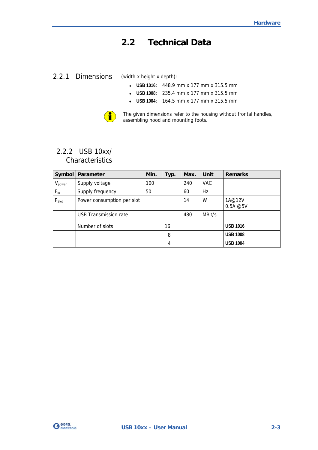#### <span id="page-8-0"></span>**2.2 Technical Data**

#### <span id="page-8-1"></span>2.2.1 Dimensions

(width x height x depth):

- ♦ **USB 1016**: 448.9 mm x 177 mm x 315.5 mm
- ♦ **USB 1008**: 235.4 mm x 177 mm x 315.5 mm
- ♦ **USB 1004**: 164.5 mm x 177 mm x 315.5 mm



The given dimensions refer to the housing without frontal handles, assembling hood and mounting foots.

#### <span id="page-8-2"></span>2.2.2 USB 10xx/ **Characteristics**

| Symbol      | <b>Parameter</b>             | Min. | Typ. | Max. | Unit       | <b>Remarks</b>      |
|-------------|------------------------------|------|------|------|------------|---------------------|
| $V_{power}$ | Supply voltage               | 100  |      | 240  | <b>VAC</b> |                     |
| $F_{in}$    | Supply frequency             | 50   |      | 60   | Hz         |                     |
| $P_{Slot}$  | Power consumption per slot   |      |      | 14   | W          | 1A@12V<br>0.5A @ 5V |
|             | <b>USB Transmission rate</b> |      |      | 480  | MBit/s     |                     |
|             | Number of slots              |      | 16   |      |            | <b>USB 1016</b>     |
|             |                              |      | 8    |      |            | <b>USB 1008</b>     |
|             |                              |      | 4    |      |            | <b>USB 1004</b>     |

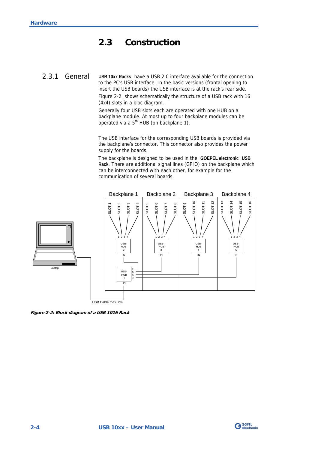#### <span id="page-9-0"></span>**2.3 Construction**

<span id="page-9-1"></span>**USB 10xx Racks** have a USB 2.0 interface available for the connection to the PC's USB interface. In the basic versions (frontal opening to insert the USB boards) the USB interface is at the rack's rear side. 2.3.1 General

> [Figure 2-2](#page-9-2) shows schematically the structure of a USB rack with 16 (4x4) slots in a bloc diagram.

Generally four USB slots each are operated with one HUB on a backplane module. At most up to four backplane modules can be operated via a 5th HUB (on backplane 1).

The USB interface for the corresponding USB boards is provided via the backplane's connector. This connector also provides the power supply for the boards.

The backplane is designed to be used in the **GOEPEL electronic USB Rack**. There are additional signal lines (GPIO) on the backplane which can be interconnected with each other, for example for the communication of several boards.



<span id="page-9-2"></span>**Figure 2-2: Block diagram of a USB 1016 Rack**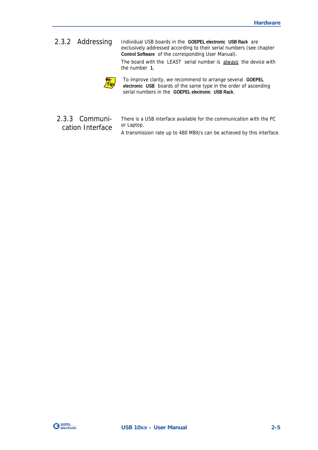#### <span id="page-10-0"></span>Individual USB boards in the **GOEPEL electronic USB Rack** are exclusively addressed according to their serial numbers (see chapter **Control Software** of the corresponding User Manual). 2.3.2 Addressing

The board with the LEAST serial number is always the device with the number **1.**



To improve clarity, we recommend to arrange several **GOEPEL electronic USB** boards of the same type in the order of ascending serial numbers in the **GOEPEL electronic USB Rack**.

#### <span id="page-10-1"></span>2.3.3 Communication Interface

There is a USB interface available for the communication with the PC or Laptop.

A transmission rate up to 480 MBit/s can be achieved by this interface.

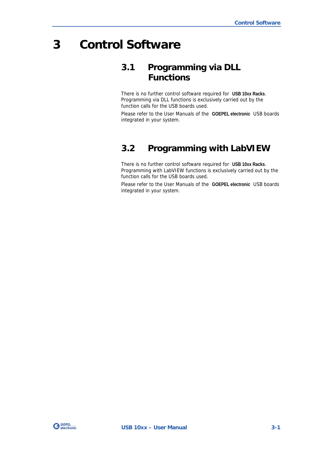## <span id="page-12-0"></span>**3 Control Software**

#### <span id="page-12-1"></span>**3.1 Programming via DLL Functions**

There is no further control software required for **USB 10xx Racks**. Programming via DLL functions is exclusively carried out by the function calls for the USB boards used.

Please refer to the User Manuals of the **GOEPEL electronic** USB boards integrated in your system.

#### <span id="page-12-2"></span>**3.2 Programming with LabVIEW**

There is no further control software required for **USB 10xx Racks**. Programming with LabVIEW functions is exclusively carried out by the function calls for the USB boards used.

Please refer to the User Manuals of the **GOEPEL electronic** USB boards integrated in your system.